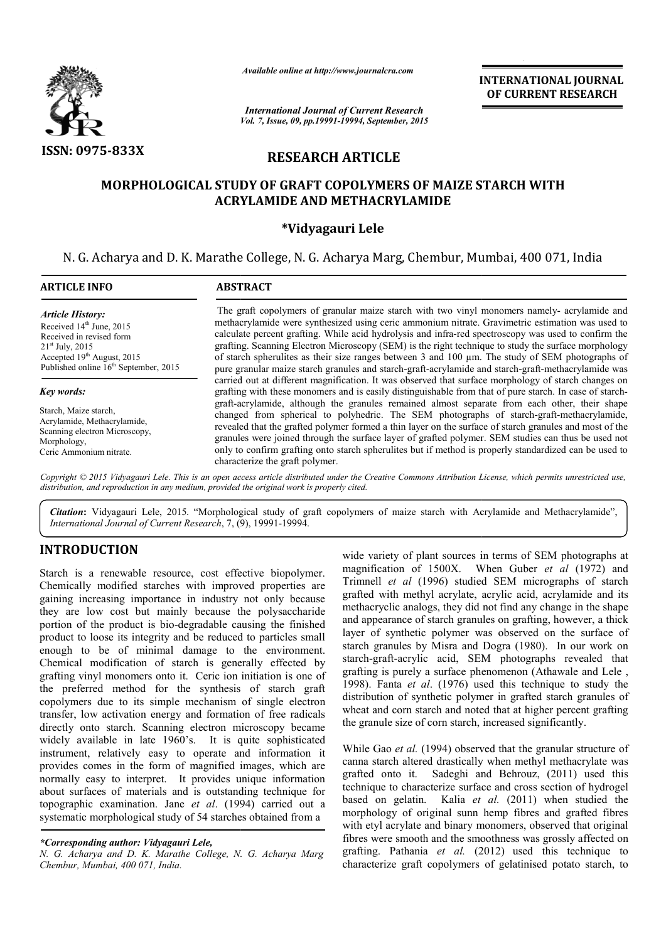

*Available online at http://www.journalcra.com*

*Vol. 7, Issue, 09, pp.19991-19994, September, 2015 International Journal of Current Research*

**INTERNATIONAL INTERNATIONAL JOURNAL OF CURRENT RESEARCH** 

# **RESEARCH ARTICLE**

# **MORPHOLOGICAL STUDY OF GRAFT COPOLYMERS OF MAIZE STARCH WITH ACRYLAMIDE AND METHACRYLAMIDE**

# **\*Vidyagauri Lele**

N. G. Acharya and D. K. Marathe College, N. G. Acharya Marg Marg, Chembur, Mumbai Mumbai, 400 071, India

| <b>ARTICLE INFO</b>                                                                                                                                                                                 | <b>ABSTRACT</b>                                                                                                                                                                                                                                                                                                                                                                                                                                                                                                                                                                                                             |  |  |  |
|-----------------------------------------------------------------------------------------------------------------------------------------------------------------------------------------------------|-----------------------------------------------------------------------------------------------------------------------------------------------------------------------------------------------------------------------------------------------------------------------------------------------------------------------------------------------------------------------------------------------------------------------------------------------------------------------------------------------------------------------------------------------------------------------------------------------------------------------------|--|--|--|
| <b>Article History:</b><br>Received 14th June, 2015<br>Received in revised form<br>$21st$ July, 2015<br>Accepted 19 <sup>th</sup> August, 2015<br>Published online 16 <sup>th</sup> September, 2015 | The graft copolymers of granular maize starch with two vinyl monomers namely- acrylamide and<br>methacrylamide were synthesized using ceric ammonium nitrate. Gravimetric estimation was used to<br>calculate percent grafting. While acid hydrolysis and infra-red spectroscopy was used to confirm the<br>grafting. Scanning Electron Microscopy (SEM) is the right technique to study the surface morphology<br>of starch spherulities as their size ranges between 3 and 100 µm. The study of SEM photographs of<br>pure granular maize starch granules and starch-graft-acrylamide and starch-graft-methacrylamide was |  |  |  |
| Key words:                                                                                                                                                                                          | carried out at different magnification. It was observed that surface morphology of starch changes on<br>grafting with these monomers and is easily distinguishable from that of pure starch. In case of starch-                                                                                                                                                                                                                                                                                                                                                                                                             |  |  |  |
| Starch, Maize starch,<br>Acrylamide, Methacrylamide,<br>Scanning electron Microscopy,<br>Morphology,<br>Ceric Ammonium nitrate.                                                                     | graft-acrylamide, although the granules remained almost separate from each other, their shape<br>changed from spherical to polyhedric. The SEM photographs of starch-graft-methacrylamide,<br>revealed that the grafted polymer formed a thin layer on the surface of starch granules and most of the<br>granules were joined through the surface layer of grafted polymer. SEM studies can thus be used not<br>only to confirm grafting onto starch spherulites but if method is properly standardized can be used to<br>characterize the graft polymer.                                                                   |  |  |  |

Copyright © 2015 Vidyagauri Lele. This is an open access article distributed under the Creative Commons Attribution License, which permits unrestricted use, distribution, and reproduction in any medium, provided the original work is properly cited.

Citation: Vidyagauri Lele, 2015. "Morphological study of graft copolymers of maize starch with Acrylamide and Methacrylamide", **Citation:** Vidyagauri Lele, 2015. "Morphological study of graditional Journal of Current Research, 7, (9), 19991-19994.

# **INTRODUCTION**

Starch is a renewable resource, cost effective biopolymer. Chemically modified starches with improved properties are gaining increasing importance in industry not only because they are low cost but mainly because the polysaccharide portion of the product is bio-degradable causing the finished product to loose its integrity and be reduced to particles small enough to be of minimal damage to the environment. Chemical modification of starch is generally effected by grafting vinyl monomers onto it. Ceric ion initiation is one of the preferred method for the synthesis of starch graft copolymers due to its simple mechanism of single electron transfer, low activation energy and formation of free radicals directly onto starch. Scanning electron microscopy became widely available in late 1960's. It is quite sophisticated instrument, relatively easy to operate and information it provides comes in the form of magnified images, which are normally easy to interpret. It provides unique information about surfaces of materials and is outstanding technique for topographic examination. Jane *et al*. (1994) carried out a systematic morphological study of 54 starches obtained from a degradable causing the finished<br>nd be reduced to particles small<br>damage to the environment.<br>tarch is generally effected by

*N. G. Acharya and D. K. Marathe College, N. G. Acharya Marg Chembur, Mumbai, 400 071, India.*

the variety of plant sources in terms of SEM photographs at exact the contract of 1500X. When Guber *et al* (1972) and with improved properties are Trimmell *et al* (1996) studied SEM micrographs of starch in industry not wide variety of plant sources in terms of SEM photographs at magnification of 1500X. When Guber *et al* (1972) and Trimnell et al (1996) studied SEM micrographs of starch grafted with methyl acrylate, acrylic acid, acrylamide and its methacryclic analogs, they did not find any change in the shape and appearance of starch granules on grafting, however, a thick layer of synthetic polymer was observed on the surface of starch granules by Misra and Dogra (1980). In our work on starch-graft-acrylic acid, SEM photographs revealed that grafting is purely a surface phenomenon (Athawale and Lele , 1998). Fanta *et al*. (1976) used this technique to study the distribution of synthetic polymer in grafted starch granules of wheat and corn starch and noted that at higher percent grafting the granule size of corn starch, increased significantly. grafted with methyl acrylate, acrylic acid, acrylamide and its<br>methacryclic analogs, they did not find any change in the shape<br>and appearance of starch granules on grafting, however, a thick<br>layer of synthetic polymer was

While Gao *et al.* (1994) observed that the granular structure of canna starch altered drastically when methyl methacrylate was grafted onto it. Sadeghi and Behrouz, (2011) used this technique to characterize surface and cross section of hydrogel based on gelatin. Kalia et al. (2011) when studied the morphology of original sunn hemp fibres and grafted fibres with etyl acrylate and binary monomers, observed that original with etyl acrylate and binary monomers, observed that original fibres were smooth and the smoothness was grossly affected on grafting. Pathania *et al.* (2012) used this technique to characterize graft copolymers of gelatinised potato starch, to 4) observed that the granular str<br>rastically when methyl methacry<br>deghi and Behrouz,  $(2011)$  is<br>ize surface and cross section of

*<sup>\*</sup>Corresponding author: Vidyagauri Lele,*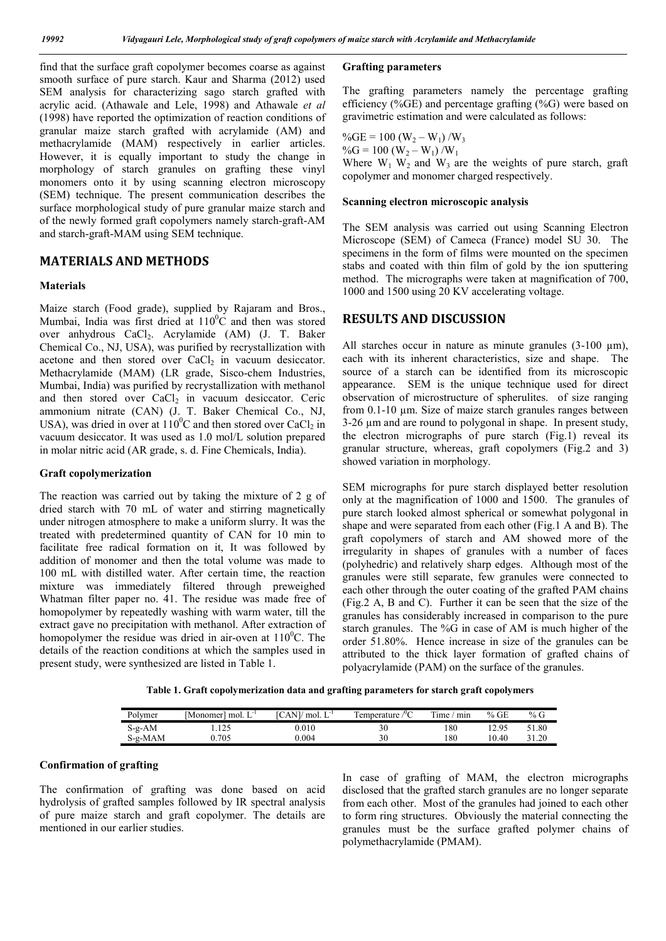find that the surface graft copolymer becomes coarse as against smooth surface of pure starch. Kaur and Sharma (2012) used SEM analysis for characterizing sago starch grafted with acrylic acid. (Athawale and Lele, 1998) and Athawale *et al* (1998) have reported the optimization of reaction conditions of granular maize starch grafted with acrylamide (AM) and methacrylamide (MAM) respectively in earlier articles. However, it is equally important to study the change in morphology of starch granules on grafting these vinyl monomers onto it by using scanning electron microscopy (SEM) technique. The present communication describes the surface morphological study of pure granular maize starch and of the newly formed graft copolymers namely starch-graft-AM and starch-graft-MAM using SEM technique.

# **MATERIALS AND METHODS**

#### **Materials**

Maize starch (Food grade), supplied by Rajaram and Bros., Mumbai, India was first dried at  $110^{\circ}$ C and then was stored over anhydrous CaCl<sub>2</sub>. Acrylamide (AM) (J. T. Baker Chemical Co., NJ, USA), was purified by recrystallization with acetone and then stored over  $CaCl<sub>2</sub>$  in vacuum desiccator. Methacrylamide (MAM) (LR grade, Sisco-chem Industries, Mumbai, India) was purified by recrystallization with methanol and then stored over CaCl<sub>2</sub> in vacuum desiccator. Ceric ammonium nitrate (CAN) (J. T. Baker Chemical Co., NJ, USA), was dried in over at  $110^0$ C and then stored over CaCl<sub>2</sub> in vacuum desiccator. It was used as 1.0 mol/L solution prepared in molar nitric acid (AR grade, s. d. Fine Chemicals, India).

#### **Graft copolymerization**

The reaction was carried out by taking the mixture of 2 g of dried starch with 70 mL of water and stirring magnetically under nitrogen atmosphere to make a uniform slurry. It was the treated with predetermined quantity of CAN for 10 min to facilitate free radical formation on it, It was followed by addition of monomer and then the total volume was made to 100 mL with distilled water. After certain time, the reaction mixture was immediately filtered through preweighed Whatman filter paper no. 41. The residue was made free of homopolymer by repeatedly washing with warm water, till the extract gave no precipitation with methanol. After extraction of homopolymer the residue was dried in air-oven at  $110^{\circ}$ C. The details of the reaction conditions at which the samples used in present study, were synthesized are listed in Table 1.

## **Grafting parameters**

The grafting parameters namely the percentage grafting efficiency (% $GE$ ) and percentage grafting (% $G$ ) were based on gravimetric estimation and were calculated as follows:

 $\%GE = 100 (W_2 - W_1)/W_3$  $\%G = 100 \ (W_2 - W_1) / W_1$ Where  $W_1$   $W_2$  and  $W_3$  are the weights of pure starch, graft copolymer and monomer charged respectively.

### **Scanning electron microscopic analysis**

The SEM analysis was carried out using Scanning Electron Microscope (SEM) of Cameca (France) model SU 30. The specimens in the form of films were mounted on the specimen stabs and coated with thin film of gold by the ion sputtering method. The micrographs were taken at magnification of 700, 1000 and 1500 using 20 KV accelerating voltage.

## **RESULTS AND DISCUSSION**

All starches occur in nature as minute granules  $(3-100 \mu m)$ , each with its inherent characteristics, size and shape. The source of a starch can be identified from its microscopic appearance. SEM is the unique technique used for direct observation of microstructure of spherulites. of size ranging from 0.1-10 µm. Size of maize starch granules ranges between 3-26 um and are round to polygonal in shape. In present study, the electron micrographs of pure starch (Fig.1) reveal its granular structure, whereas, graft copolymers (Fig.2 and 3) showed variation in morphology.

SEM micrographs for pure starch displayed better resolution only at the magnification of 1000 and 1500. The granules of pure starch looked almost spherical or somewhat polygonal in shape and were separated from each other (Fig.1 A and B). The graft copolymers of starch and AM showed more of the irregularity in shapes of granules with a number of faces (polyhedric) and relatively sharp edges. Although most of the granules were still separate, few granules were connected to each other through the outer coating of the grafted PAM chains (Fig.2 A, B and C). Further it can be seen that the size of the granules has considerably increased in comparison to the pure starch granules. The %G in case of AM is much higher of the order 51.80%. Hence increase in size of the granules can be attributed to the thick layer formation of grafted chains of polyacrylamide (PAM) on the surface of the granules.

**Table 1. Graft copolymerization data and grafting parameters for starch graft copolymers**

| Polymer  | $T - 1$<br>mol.<br>Monomer | $T^{-1}$<br>$\angle$ ANI/ $\angle$<br>′ mol. L | emperature | rent for<br>min<br>ime | $%$ GE | % G   |
|----------|----------------------------|------------------------------------------------|------------|------------------------|--------|-------|
| $S-g-AM$ | 1.125                      | $0.010\,$                                      | 30         | 180                    | 12.95  | 51.80 |
| S-g-MAM  | 0.705                      | 0.004                                          | 30         | 180                    | 10.40  | 31.20 |

## **Confirmation of grafting**

The confirmation of grafting was done based on acid hydrolysis of grafted samples followed by IR spectral analysis of pure maize starch and graft copolymer. The details are mentioned in our earlier studies.

In case of grafting of MAM, the electron micrographs disclosed that the grafted starch granules are no longer separate from each other. Most of the granules had joined to each other to form ring structures. Obviously the material connecting the granules must be the surface grafted polymer chains of polymethacrylamide (PMAM).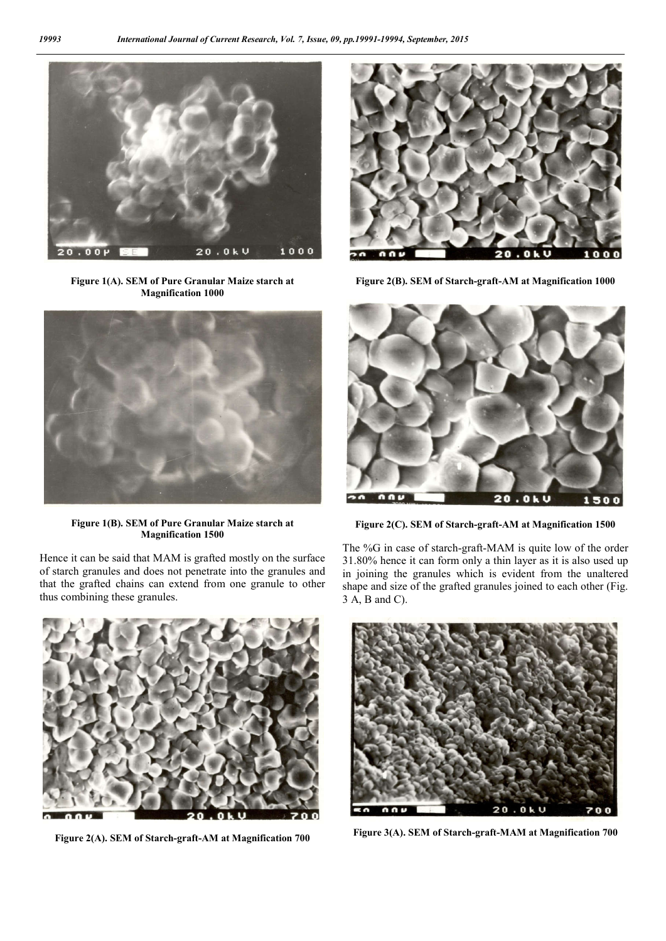

**Figure 1(A). SEM of Pure Granular Maize starch at Magnification 1000**



**Figure 1(B). SEM of Pure Granular Maize starch at Magnification 1500**

Hence it can be said that MAM is grafted mostly on the surface of starch granules and does not penetrate into the granules and that the grafted chains can extend from one granule to other thus combining these granules.



**Figure 2(A). SEM of Starch-graft-AM at Magnification 700**



**Figure 2(B). SEM of Starch-graft-AM at Magnification 1000**



**Figure 2(C). SEM of Starch-graft-AM at Magnification 1500**

The %G in case of starch-graft-MAM is quite low of the order 31.80% hence it can form only a thin layer as it is also used up in joining the granules which is evident from the unaltered shape and size of the grafted granules joined to each other (Fig. 3 A, B and C).



**Figure 3(A). SEM of Starch-graft-MAM at Magnification 700**